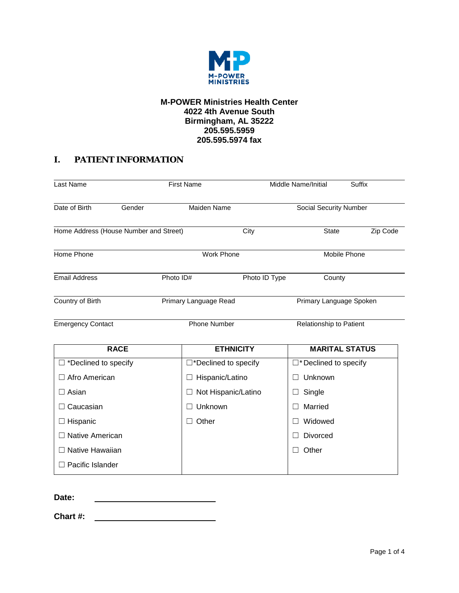

### **M-POWER Ministries Health Center 4022 4th Avenue South Birmingham, AL 35222 205.595.5959 205.595.5974 fax**

# **I. PATIENT INFORMATION**

| Last Name                              |             | <b>First Name</b>     |                                                  |  | Middle Name/Initial          | Suffix                        |
|----------------------------------------|-------------|-----------------------|--------------------------------------------------|--|------------------------------|-------------------------------|
| Date of Birth                          | Gender      |                       | Maiden Name                                      |  |                              | <b>Social Security Number</b> |
| Home Address (House Number and Street) |             |                       | City                                             |  | <b>State</b>                 | Zip Code                      |
| Home Phone                             |             |                       | <b>Work Phone</b>                                |  | Mobile Phone                 |                               |
| <b>Email Address</b>                   |             | Photo ID#             | Photo ID Type                                    |  | County                       |                               |
| Country of Birth                       |             |                       | Primary Language Read<br>Primary Language Spoken |  |                              |                               |
| <b>Emergency Contact</b>               |             | <b>Phone Number</b>   |                                                  |  | Relationship to Patient      |                               |
|                                        | <b>RACE</b> |                       | <b>ETHNICITY</b>                                 |  |                              | <b>MARITAL STATUS</b>         |
| $\Box$ *Declined to specify            |             | □*Declined to specify |                                                  |  | $\Box^*$ Declined to specify |                               |
| □ Afro American                        |             | Hispanic/Latino       |                                                  |  | Unknown                      |                               |
| $\Box$ Asian                           |             |                       | Not Hispanic/Latino                              |  | Single                       |                               |
| $\Box$ Caucasian                       |             | Unknown               |                                                  |  | Married                      |                               |
| $\Box$ Hispanic                        |             | Other                 |                                                  |  | Widowed                      |                               |
| $\Box$ Native American                 |             |                       |                                                  |  | <b>Divorced</b>              |                               |
| $\Box$ Native Hawaiian                 |             |                       |                                                  |  | Other                        |                               |
| Pacific Islander                       |             |                       |                                                  |  |                              |                               |

**Date:** 

**Chart #:**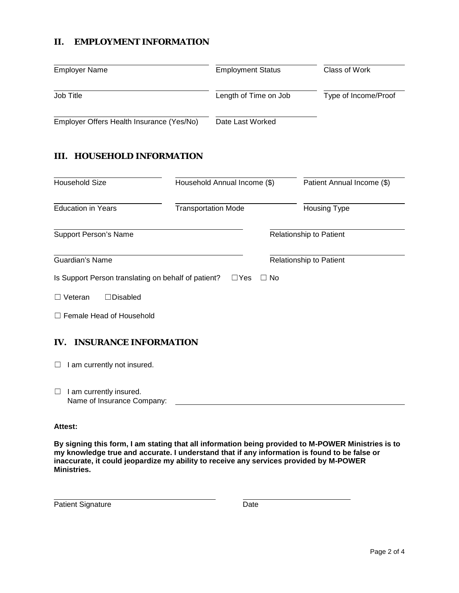## **II. EMPLOYMENT INFORMATION**

| <b>Employer Name</b>                      | <b>Employment Status</b> | Class of Work        |
|-------------------------------------------|--------------------------|----------------------|
| Job Title                                 | Length of Time on Job    | Type of Income/Proof |
| Employer Offers Health Insurance (Yes/No) | Date Last Worked         |                      |

### **III. HOUSEHOLD INFORMATION**

| <b>Household Size</b>                               | Household Annual Income (\$)<br><b>Transportation Mode</b> |           | Patient Annual Income (\$)<br><b>Housing Type</b> |  |  |
|-----------------------------------------------------|------------------------------------------------------------|-----------|---------------------------------------------------|--|--|
| <b>Education in Years</b>                           |                                                            |           |                                                   |  |  |
| <b>Support Person's Name</b>                        |                                                            |           | <b>Relationship to Patient</b>                    |  |  |
| Guardian's Name                                     |                                                            |           | <b>Relationship to Patient</b>                    |  |  |
| Is Support Person translating on behalf of patient? | $\Box$ Yes                                                 | $\Box$ No |                                                   |  |  |
| Veteran<br><b>Disabled</b>                          |                                                            |           |                                                   |  |  |
| $\Box$ Female Head of Household                     |                                                            |           |                                                   |  |  |
| <b>INSURANCE INFORMATION</b><br>IV.                 |                                                            |           |                                                   |  |  |
| I am currently not insured.                         |                                                            |           |                                                   |  |  |

□ I am currently insured. Name of Insurance Company:

#### **Attest:**

**By signing this form, I am stating that all information being provided to M-POWER Ministries is to my knowledge true and accurate. I understand that if any information is found to be false or inaccurate, it could jeopardize my ability to receive any services provided by M-POWER Ministries.**

Patient Signature Date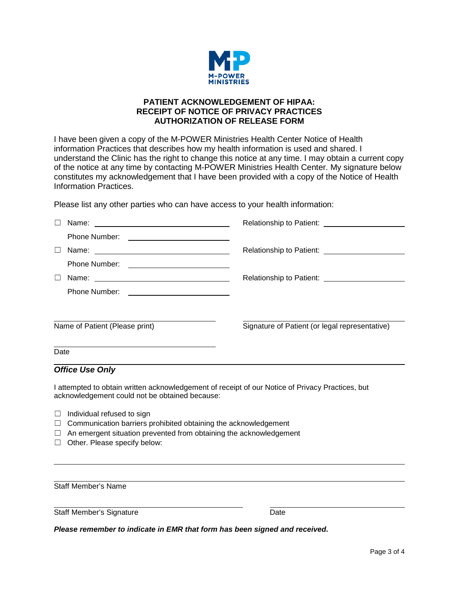

### **PATIENT ACKNOWLEDGEMENT OF HIPAA: RECEIPT OF NOTICE OF PRIVACY PRACTICES AUTHORIZATION OF RELEASE FORM**

I have been given a copy of the M-POWER Ministries Health Center Notice of Health information Practices that describes how my health information is used and shared. I understand the Clinic has the right to change this notice at any time. I may obtain a current copy of the notice at any time by contacting M-POWER Ministries Health Center. My signature below constitutes my acknowledgement that I have been provided with a copy of the Notice of Health Information Practices.

Please list any other parties who can have access to your health information:

|      | <b>Phone Number:</b><br><u> 1989 - Andrea Station Books, amerikansk politik (</u>                                                                                                                                                                            |                                                |
|------|--------------------------------------------------------------------------------------------------------------------------------------------------------------------------------------------------------------------------------------------------------------|------------------------------------------------|
|      |                                                                                                                                                                                                                                                              |                                                |
|      | <b>Phone Number:</b><br><u> The Communication of the Communication of the Communication of the Communication of the Communication of the Communication of the Communication of the Communication of the Communication of the Communication of the Commun</u> |                                                |
|      |                                                                                                                                                                                                                                                              |                                                |
|      |                                                                                                                                                                                                                                                              |                                                |
|      |                                                                                                                                                                                                                                                              |                                                |
|      |                                                                                                                                                                                                                                                              |                                                |
|      | Name of Patient (Please print)                                                                                                                                                                                                                               | Signature of Patient (or legal representative) |
|      |                                                                                                                                                                                                                                                              |                                                |
| Date |                                                                                                                                                                                                                                                              |                                                |

### *Office Use Only*

I attempted to obtain written acknowledgement of receipt of our Notice of Privacy Practices, but acknowledgement could not be obtained because:

- $\Box$  Individual refused to sign
- □ Communication barriers prohibited obtaining the acknowledgement
- $\Box$  An emergent situation prevented from obtaining the acknowledgement
- ☐ Other. Please specify below:

Staff Member's Name

Staff Member's Signature Date

*Please remember to indicate in EMR that form has been signed and received.*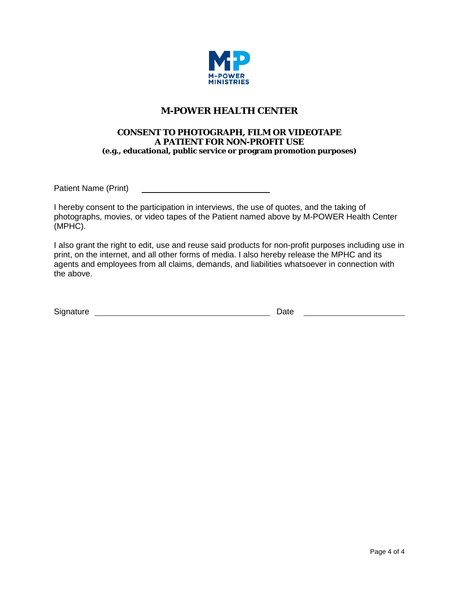

# **M-POWER HEALTH CENTER**

### **CONSENT TO PHOTOGRAPH, FILM OR VIDEOTAPE A PATIENT FOR NON-PROFIT USE (e.g., educational, public service or program promotion purposes)**

Patient Name (Print)

I hereby consent to the participation in interviews, the use of quotes, and the taking of photographs, movies, or video tapes of the Patient named above by M-POWER Health Center (MPHC).

I also grant the right to edit, use and reuse said products for non-profit purposes including use in print, on the internet, and all other forms of media. I also hereby release the MPHC and its agents and employees from all claims, demands, and liabilities whatsoever in connection with the above.

| Signature | Date |  |
|-----------|------|--|
|           |      |  |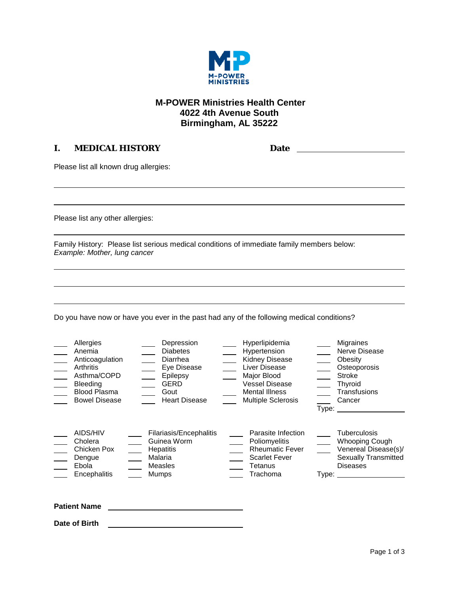

# **M-POWER Ministries Health Center 4022 4th Avenue South Birmingham, AL 35222**

## **I. MEDICAL HISTORY Date**

Please list all known drug allergies:

Please list any other allergies:

Family History: Please list serious medical conditions of immediate family members below: *Example: Mother, lung cancer*

Do you have now or have you ever in the past had any of the following medical conditions?

| Allergies<br>Anemia<br>Anticoagulation<br>Arthritis<br>Asthma/COPD<br><b>Bleeding</b><br><b>Blood Plasma</b><br><b>Bowel Disease</b> | Depression<br><b>Diabetes</b><br>Diarrhea<br>Eye Disease<br>Epilepsy<br>$\sim$ 10 $\pm$<br>$\equiv$<br><b>GERD</b><br>Gout<br><b>Heart Disease</b> | Hyperlipidemia<br>Hypertension<br><b>Kidney Disease</b><br>Liver Disease<br>Major Blood<br><b>Vessel Disease</b><br><b>Mental Illness</b><br><b>Multiple Sclerosis</b> | Migraines<br>Nerve Disease<br>Obesity<br>Osteoporosis<br>Stroke<br><b>Thyroid</b><br>Transfusions<br>Cancer<br>Type: |
|--------------------------------------------------------------------------------------------------------------------------------------|----------------------------------------------------------------------------------------------------------------------------------------------------|------------------------------------------------------------------------------------------------------------------------------------------------------------------------|----------------------------------------------------------------------------------------------------------------------|
| AIDS/HIV                                                                                                                             | Filariasis/Encephalitis                                                                                                                            | Parasite Infection                                                                                                                                                     | <b>Tuberculosis</b>                                                                                                  |
| Cholera                                                                                                                              | Guinea Worm                                                                                                                                        | Poliomyelitis                                                                                                                                                          | <b>Whooping Cough</b>                                                                                                |
| Chicken Pox                                                                                                                          | Hepatitis                                                                                                                                          | <b>Rheumatic Fever</b>                                                                                                                                                 | Venereal Disease(s)/                                                                                                 |
| Dengue                                                                                                                               | Malaria                                                                                                                                            | <b>Scarlet Fever</b>                                                                                                                                                   | <b>Sexually Transmitted</b>                                                                                          |
| Ebola                                                                                                                                | Measles                                                                                                                                            | Tetanus                                                                                                                                                                | <b>Diseases</b>                                                                                                      |
| Encephalitis                                                                                                                         | <b>Mumps</b>                                                                                                                                       | Trachoma                                                                                                                                                               | Type: Type:                                                                                                          |

**Patient Name**

**Date of Birth**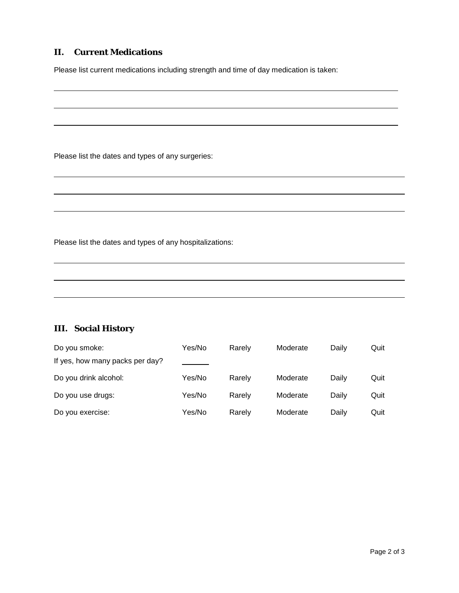### **II. Current Medications**

Please list current medications including strength and time of day medication is taken:

Please list the dates and types of any surgeries:

Please list the dates and types of any hospitalizations:

## **III. Social History**

| Do you smoke:                   | Yes/No | Rarely | Moderate | Daily | Quit |
|---------------------------------|--------|--------|----------|-------|------|
| If yes, how many packs per day? |        |        |          |       |      |
| Do you drink alcohol:           | Yes/No | Rarely | Moderate | Daily | Quit |
| Do you use drugs:               | Yes/No | Rarely | Moderate | Daily | Quit |
| Do you exercise:                | Yes/No | Rarely | Moderate | Daily | Quit |